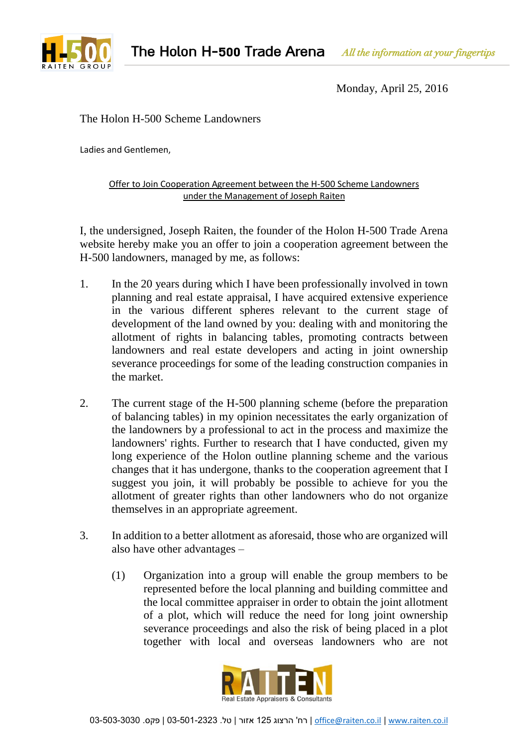

Monday, April 25, 2016

## The Holon H-500 Scheme Landowners

Ladies and Gentlemen,

## Offer to Join Cooperation Agreement between the H-500 Scheme Landowners under the Management of Joseph Raiten

I, the undersigned, Joseph Raiten, the founder of the Holon H-500 Trade Arena website hereby make you an offer to join a cooperation agreement between the H-500 landowners, managed by me, as follows:

- 1. In the 20 years during which I have been professionally involved in town planning and real estate appraisal, I have acquired extensive experience in the various different spheres relevant to the current stage of development of the land owned by you: dealing with and monitoring the allotment of rights in balancing tables, promoting contracts between landowners and real estate developers and acting in joint ownership severance proceedings for some of the leading construction companies in the market.
- 2. The current stage of the H-500 planning scheme (before the preparation of balancing tables) in my opinion necessitates the early organization of the landowners by a professional to act in the process and maximize the landowners' rights. Further to research that I have conducted, given my long experience of the Holon outline planning scheme and the various changes that it has undergone, thanks to the cooperation agreement that I suggest you join, it will probably be possible to achieve for you the allotment of greater rights than other landowners who do not organize themselves in an appropriate agreement.
- 3. In addition to a better allotment as aforesaid, those who are organized will also have other advantages –
	- (1) Organization into a group will enable the group members to be represented before the local planning and building committee and the local committee appraiser in order to obtain the joint allotment of a plot, which will reduce the need for long joint ownership severance proceedings and also the risk of being placed in a plot together with local and overseas landowners who are not